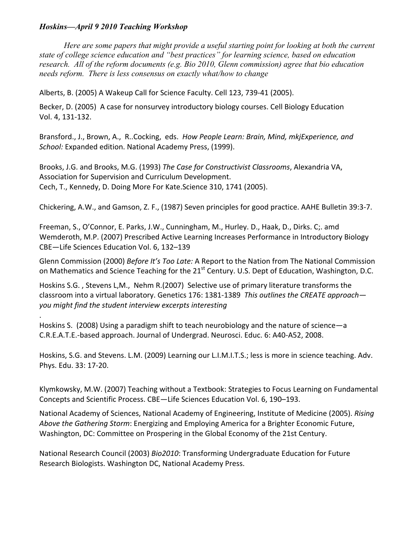## *Hoskins—April 9 2010 Teaching Workshop*

.

*Here are some papers that might provide a useful starting point for looking at both the current state of college science education and "best practices" for learning science, based on education research. All of the reform documents (e.g. Bio 2010, Glenn commission) agree that bio education needs reform. There is less consensus on exactly what/how to change*

Alberts,
B.
(2005)
A
Wakeup
Call
for
Science
Faculty.
Cell
123,
739‐41
(2005).

Becker, D. (2005) A case for nonsurvey introductory biology courses. Cell Biology Education Vol.
4,
131‐132.

Bransford., J., Brown, A., R..Cocking, eds. How People Learn: Brain, Mind, mkjExperience, and School: Expanded edition. National Academy Press, (1999).

Brooks,
J.G.
and
Brooks,
M.G.
(1993) *The
Case
for
Constructivist
Classrooms*,
Alexandria
VA, Association
for
Supervision
and
Curriculum
Development. Cech,
T.,
Kennedy,
D.
Doing
More
For
Kate.Science
310,
1741
(2005).

Chickering, A.W., and Gamson, Z. F., (1987) Seven principles for good practice. AAHE Bulletin 39:3-7.

Freeman, S., O'Connor, E. Parks, J.W., Cunningham, M., Hurley. D., Haak, D., Dirks. C;. amd Wemderoth, M.P. (2007) Prescribed Active Learning Increases Performance in Introductory Biology CBE—Life
Sciences
Education
Vol.
6,
132–139

Glenn Commission (2000) *Before It's Too Late:* A Report to the Nation from The National Commission on Mathematics and Science Teaching for the 21<sup>st</sup> Century. U.S. Dept of Education, Washington, D.C.

Hoskins S.G., Stevens L,M., Nehm R.(2007) Selective use of primary literature transforms the classroom into a virtual laboratory. Genetics 176: 1381-1389 This outlines the CREATE approach*you
might
find
the
student
interview
excerpts
interesting*

Hoskins S. (2008) Using a paradigm shift to teach neurobiology and the nature of science—a C.R.E.A.T.E.‐based
approach.
Journal
of
Undergrad.
Neurosci.
Educ.
6:
A40‐A52,
2008.

Hoskins, S.G. and Stevens. L.M. (2009) Learning our L.I.M.I.T.S.; less is more in science teaching. Adv. Phys.
Edu.
33:
17‐20.

Klymkowsky,
M.W.
(2007)
Teaching
without
a
Textbook:
Strategies
to
Focus
Learning
on
Fundamental Concepts
and
Scientific
Process.
CBE—Life
Sciences
Education
Vol.
6,
190–193.

National
Academy
of
Sciences,
National
Academy
of
Engineering,
Institute
of
Medicine
(2005). *Rising*  Above the Gathering Storm: Energizing and Employing America for a Brighter Economic Future, Washington, DC: Committee on Prospering in the Global Economy of the 21st Century.

National Research Council (2003) *Bio2010*: Transforming Undergraduate Education for Future Research
Biologists.
Washington
DC,
National
Academy
Press.